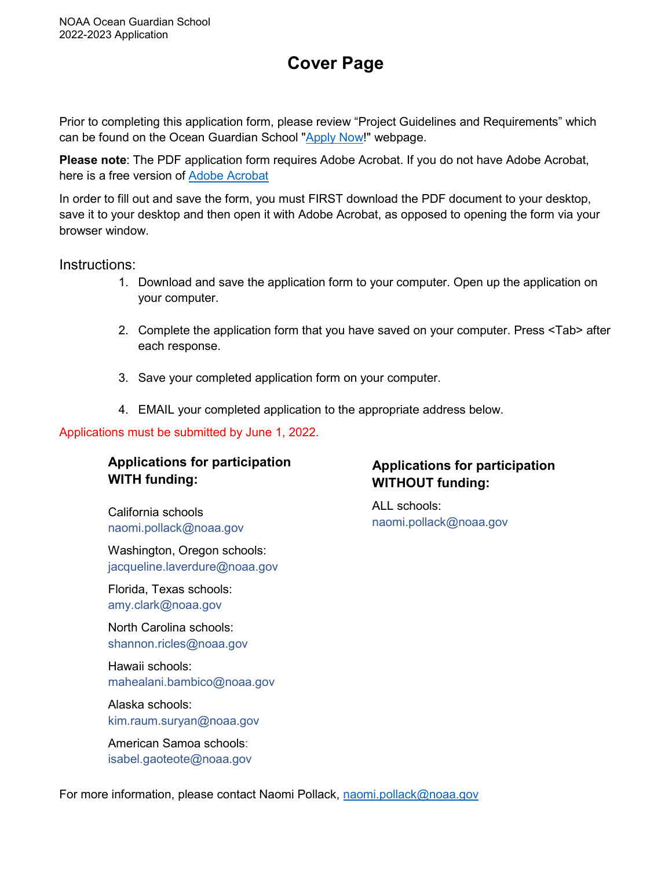# **Cover Page**

Prior to completing this application form, please review "Project Guidelines and Requirements" which can be found on the Ocean Guardian School ["Apply Now!](https://sanctuaries.noaa.gov/education/ocean_guardian/application.html)" webpage.

**Please note**: The PDF application form requires Adobe Acrobat. If you do not have Adobe Acrobat, here is a free version of [Adobe Acrobat](https://www.adobe.com/acrobat/free-trial-download.html)

In order to fill out and save the form, you must FIRST download the PDF document to your desktop, save it to your desktop and then open it with Adobe Acrobat, as opposed to opening the form via your browser window.

Instructions:

- 1. Download and save the application form to your computer. Open up the application on your computer.
- 2. Complete the application form that you have saved on your computer. Press <Tab> after each response.
- 3. Save your completed application form on your computer.
- 4. EMAIL your completed application to the appropriate address below.

## Applications must be submitted by June 1, 2022.

# **Applications for participation WITH funding:**

California schools [naomi.pollack@noaa.gov](mailto:naomi.pollack@noaa.gov)

Washington, Oregon schools: [jacqueline.laverdure@noaa.gov](mailto:jacqueline.laverdure@noaa.gov)

Florida, Texas schools: [amy.clark@noaa.gov](mailto:amy.clark@noaa.gov)

North Carolina schools: [shannon.ricles@noaa.gov](mailto:shannon.ricles@noaa.gov) 

Hawaii schools: [mahealani.bambico@noaa.gov](mailto:mahealani.bambico@noaa.gov)

Alaska schools: [kim.raum.suryan@noaa.gov](mailto:kim.raum.suryan@noaa.gov)

American Samoa schools: [isabel.gaoteote@noaa.gov](mailto:isabel.gaoteote@noaa.gov)

# **Applications for participation WITHOUT funding:**

ALL schools: [naomi.pollack@noaa.gov](mailto:naomi.pollack@noaa.gov) 

For more information, please contact Naomi Pollack, [naomi.pollack@noaa.gov](mailto:naomi.pollack@noaa.gov)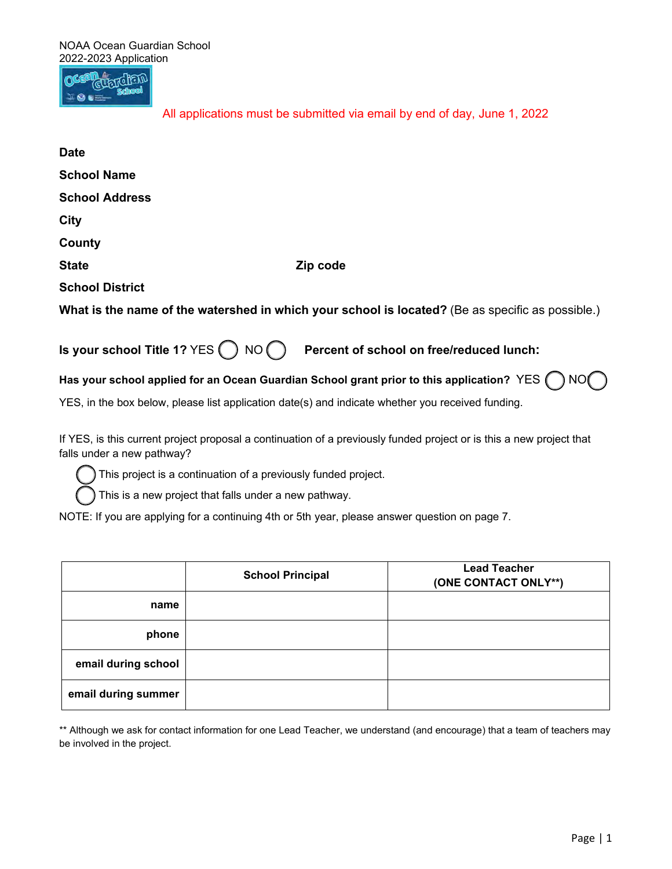**RUFTCHEM** 

All applications must be submitted via email by end of day, June 1, 2022

| <b>Date</b>                                        |                                                                                                   |
|----------------------------------------------------|---------------------------------------------------------------------------------------------------|
| <b>School Name</b>                                 |                                                                                                   |
| <b>School Address</b>                              |                                                                                                   |
| City                                               |                                                                                                   |
| County                                             |                                                                                                   |
| <b>State</b>                                       | Zip code                                                                                          |
| <b>School District</b>                             |                                                                                                   |
|                                                    | What is the name of the watershed in which your school is located? (Be as specific as possible.)  |
| Is your school Title 1? YES $\bigcap$ NO $\bigcap$ | Percent of school on free/reduced lunch:                                                          |
|                                                    | Has your school applied for an Ocean Guardian School grant prior to this application? YES (       |
|                                                    | YES, in the box below, please list application date(s) and indicate whether you received funding. |

 If YES, is this current project proposal a continuation of a previously funded project or is this a new project that falls under a new pathway?

This project is a continuation of a previously funded project.

This is a new project that falls under a new pathway.

NOTE: If you are applying for a continuing 4th or 5th year, please answer question on page 7.

|                     | <b>School Principal</b> | <b>Lead Teacher</b><br>(ONE CONTACT ONLY**) |
|---------------------|-------------------------|---------------------------------------------|
| name                |                         |                                             |
| phone               |                         |                                             |
| email during school |                         |                                             |
| email during summer |                         |                                             |

 \*\* Although we ask for contact information for one Lead Teacher, we understand (and encourage) that a team of teachers may be involved in the project.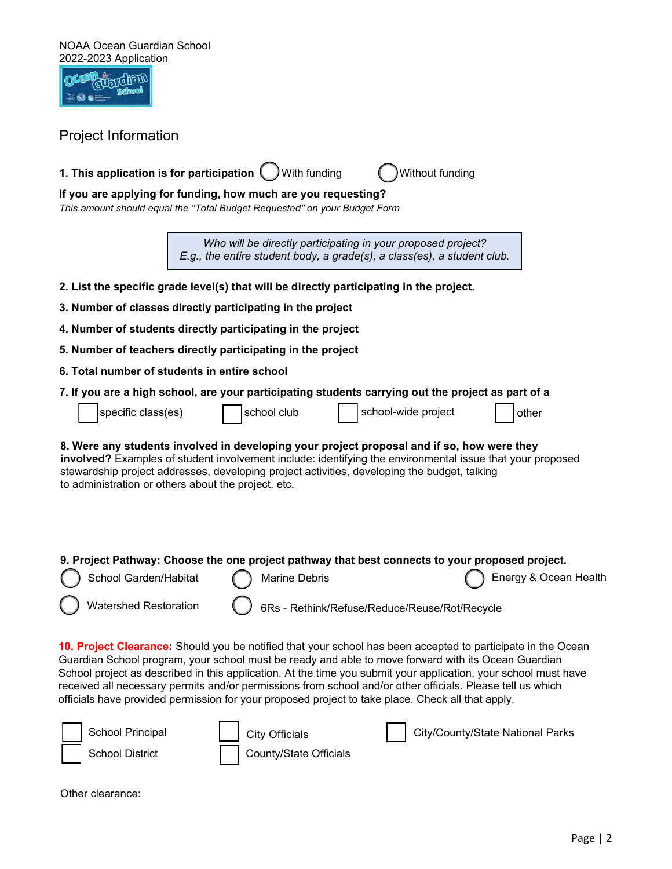| NOAA Ocean Guardian School<br>2022-2023 Application<br><b>Project Information</b>                                                                                                                                                                                                                                                                              |  |                                                 |                                                                                                                                                                                                                                                                                                                                                                                                                                                                                                                                                           |                                  |                       |
|----------------------------------------------------------------------------------------------------------------------------------------------------------------------------------------------------------------------------------------------------------------------------------------------------------------------------------------------------------------|--|-------------------------------------------------|-----------------------------------------------------------------------------------------------------------------------------------------------------------------------------------------------------------------------------------------------------------------------------------------------------------------------------------------------------------------------------------------------------------------------------------------------------------------------------------------------------------------------------------------------------------|----------------------------------|-----------------------|
|                                                                                                                                                                                                                                                                                                                                                                |  |                                                 |                                                                                                                                                                                                                                                                                                                                                                                                                                                                                                                                                           |                                  |                       |
| 1. This application is for participation (                                                                                                                                                                                                                                                                                                                     |  | With funding                                    | Without funding                                                                                                                                                                                                                                                                                                                                                                                                                                                                                                                                           |                                  |                       |
| If you are applying for funding, how much are you requesting?<br>This amount should equal the "Total Budget Requested" on your Budget Form                                                                                                                                                                                                                     |  |                                                 |                                                                                                                                                                                                                                                                                                                                                                                                                                                                                                                                                           |                                  |                       |
|                                                                                                                                                                                                                                                                                                                                                                |  |                                                 | Who will be directly participating in your proposed project?<br>E.g., the entire student body, a grade(s), a class(es), a student club.                                                                                                                                                                                                                                                                                                                                                                                                                   |                                  |                       |
|                                                                                                                                                                                                                                                                                                                                                                |  |                                                 | 2. List the specific grade level(s) that will be directly participating in the project.                                                                                                                                                                                                                                                                                                                                                                                                                                                                   |                                  |                       |
| 3. Number of classes directly participating in the project                                                                                                                                                                                                                                                                                                     |  |                                                 |                                                                                                                                                                                                                                                                                                                                                                                                                                                                                                                                                           |                                  |                       |
| 4. Number of students directly participating in the project                                                                                                                                                                                                                                                                                                    |  |                                                 |                                                                                                                                                                                                                                                                                                                                                                                                                                                                                                                                                           |                                  |                       |
| 5. Number of teachers directly participating in the project                                                                                                                                                                                                                                                                                                    |  |                                                 |                                                                                                                                                                                                                                                                                                                                                                                                                                                                                                                                                           |                                  |                       |
| 6. Total number of students in entire school                                                                                                                                                                                                                                                                                                                   |  |                                                 |                                                                                                                                                                                                                                                                                                                                                                                                                                                                                                                                                           |                                  |                       |
|                                                                                                                                                                                                                                                                                                                                                                |  |                                                 | 7. If you are a high school, are your participating students carrying out the project as part of a                                                                                                                                                                                                                                                                                                                                                                                                                                                        |                                  |                       |
| specific class(es)                                                                                                                                                                                                                                                                                                                                             |  | school club                                     | school-wide project                                                                                                                                                                                                                                                                                                                                                                                                                                                                                                                                       |                                  | other                 |
| 8. Were any students involved in developing your project proposal and if so, how were they<br>involved? Examples of student involvement include: identifying the environmental issue that your proposed<br>stewardship project addresses, developing project activities, developing the budget, talking<br>to administration or others about the project, etc. |  |                                                 |                                                                                                                                                                                                                                                                                                                                                                                                                                                                                                                                                           |                                  |                       |
|                                                                                                                                                                                                                                                                                                                                                                |  |                                                 | 9. Project Pathway: Choose the one project pathway that best connects to your proposed project.                                                                                                                                                                                                                                                                                                                                                                                                                                                           |                                  |                       |
| School Garden/Habitat                                                                                                                                                                                                                                                                                                                                          |  | <b>Marine Debris</b>                            |                                                                                                                                                                                                                                                                                                                                                                                                                                                                                                                                                           |                                  | Energy & Ocean Health |
| <b>Watershed Restoration</b><br>6Rs - Rethink/Refuse/Reduce/Reuse/Rot/Recycle                                                                                                                                                                                                                                                                                  |  |                                                 |                                                                                                                                                                                                                                                                                                                                                                                                                                                                                                                                                           |                                  |                       |
|                                                                                                                                                                                                                                                                                                                                                                |  |                                                 | 10. Project Clearance: Should you be notified that your school has been accepted to participate in the Ocean<br>Guardian School program, your school must be ready and able to move forward with its Ocean Guardian<br>School project as described in this application. At the time you submit your application, your school must have<br>received all necessary permits and/or permissions from school and/or other officials. Please tell us which<br>officials have provided permission for your proposed project to take place. Check all that apply. |                                  |                       |
| School Principal<br><b>School District</b>                                                                                                                                                                                                                                                                                                                     |  | <b>City Officials</b><br>County/State Officials |                                                                                                                                                                                                                                                                                                                                                                                                                                                                                                                                                           | City/County/State National Parks |                       |

Other clearance: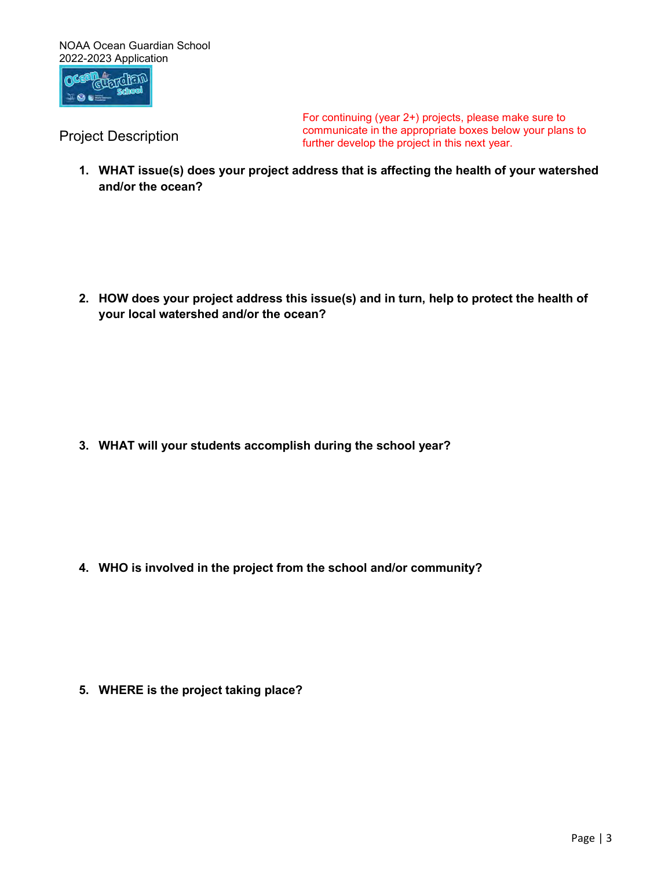

 For continuing (year 2+) projects, please make sure to communicate in the appropriate boxes below your plans to Project Description further develop the project in this next year.

 **1. WHAT issue(s) does your project address that is affecting the health of your watershed and/or the ocean?** 

 **2. HOW does your project address this issue(s) and in turn, help to protect the health of your local watershed and/or the ocean?** 

**3. WHAT will your students accomplish during the school year?** 

 **4. WHO is involved in the project from the school and/or community?** 

**5. WHERE is the project taking place?**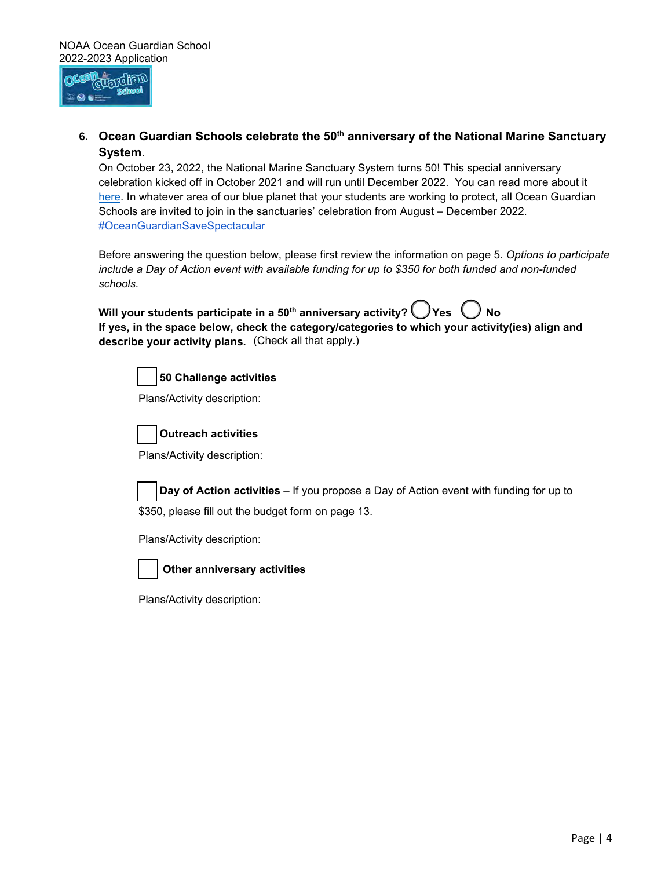

6. Ocean Guardian Schools celebrate the 50<sup>th</sup> anniversary of the National Marine Sanctuary **System**.

Schools are invited to join in the sanctuaries' celebration from August – December 2022.<br>#OceanGuardianSaveSpectacular On October 23, 2022, the National Marine Sanctuary System turns 50! This special anniversary celebration kicked off in October 2021 and will run until December 2022. You can read more about it [here.](https://sanctuaries.noaa.gov/50/) In whatever area of our blue planet that your students are working to protect, all Ocean Guardian

Before answering the question below, please first review the information on page 5. *Options to participate include a Day of Action event with available funding for up to \$350 for both funded and non-funded schools.* 

| Will your students participate in a 50 <sup>th</sup> anniversary activity? $\bigcirc$ Yes $\bigcirc$ No |  |
|---------------------------------------------------------------------------------------------------------|--|
| If yes, in the space below, check the category/categories to which your activity(ies) align and         |  |
| describe your activity plans. (Check all that apply.)                                                   |  |



**50 Challenge activities** 

Plans/Activity description:



**Outreach activities** 

Plans/Activity description:

 **Day of Action activities** – If you propose a Day of Action event with funding for up to  \$350, please fill out the budget form on page 13.

Plans/Activity description:



**Other anniversary activities** 

Plans/Activity description: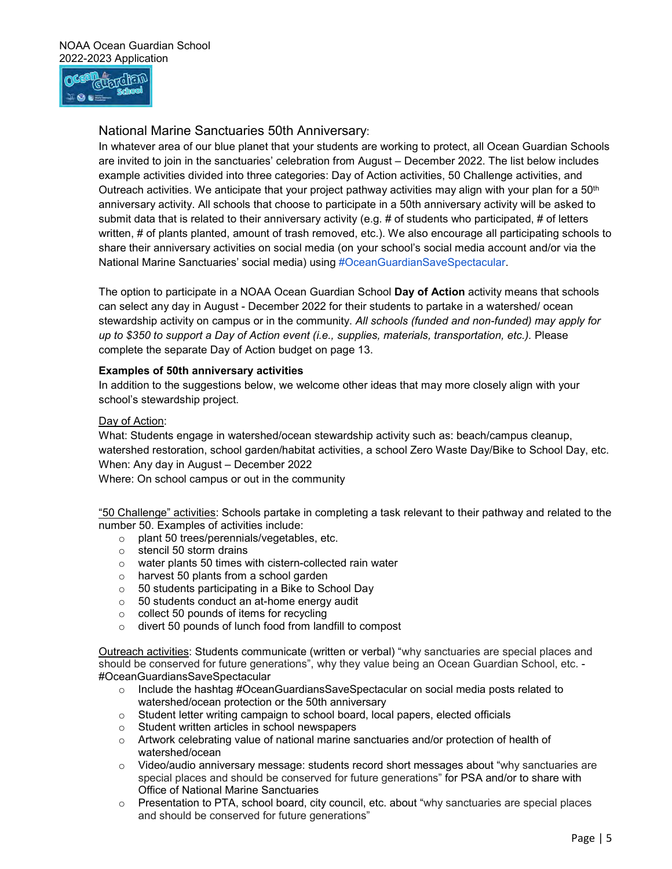

## National Marine Sanctuaries 50th Anniversary:

National Marine Sanctuaries' social media) using #OceanGuardianSaveSpectacular. In whatever area of our blue planet that your students are working to protect, all Ocean Guardian Schools are invited to join in the sanctuaries' celebration from August – December 2022. The list below includes example activities divided into three categories: Day of Action activities, 50 Challenge activities, and Outreach activities. We anticipate that your project pathway activities may align with your plan for a 50<sup>th</sup> anniversary activity. All schools that choose to participate in a 50th anniversary activity will be asked to submit data that is related to their anniversary activity (e.g. # of students who participated, # of letters written, # of plants planted, amount of trash removed, etc.). We also encourage all participating schools to share their anniversary activities on social media (on your school's social media account and/or via the

 stewardship activity on campus or in the community. *All schools (funded and non-funded) may apply for*  The option to participate in a NOAA Ocean Guardian School Day of Action activity means that schools can select any day in August - December 2022 for their students to partake in a watershed/ ocean *up to \$350 to support a Day of Action event (i.e., supplies, materials, transportation, etc.).* Please complete the separate Day of Action budget on page 13.

#### **Examples of 50th anniversary activities**

school's stewardship project.<br><u>Day of Action</u>: In addition to the suggestions below, we welcome other ideas that may more closely align with your

 When: Any day in August – December 2022 What: Students engage in watershed/ocean stewardship activity such as: beach/campus cleanup, watershed restoration, school garden/habitat activities, a school Zero Waste Day/Bike to School Day, etc.

Where: On school campus or out in the community

 number 50. Examples of activities include: "50 Challenge" activities: Schools partake in completing a task relevant to their pathway and related to the

- o plant 50 trees/perennials/vegetables, etc.
- o stencil 50 storm drains
- o water plants 50 times with cistern-collected rain water
- o harvest 50 plants from a school garden
- o 50 students participating in a Bike to School Day
- o 50 students conduct an at-home energy audit
- $\circ$  collect 50 pounds of items for recycling
- o divert 50 pounds of lunch food from landfill to compost

 should be conserved for future generations", why they value being an Ocean Guardian School, etc. - Outreach activities: Students communicate (written or verbal) "why sanctuaries are special places and #OceanGuardiansSaveSpectacular

- $\circ$  Include the hashtag #OceanGuardiansSaveSpectacular on social media posts related to watershed/ocean protection or the 50th anniversary
- $\circ$  Student letter writing campaign to school board, local papers, elected officials
- o Student written articles in school newspapers
- o Artwork celebrating value of national marine sanctuaries and/or protection of health of watershed/ocean
- $\circ$  Video/audio anniversary message: students record short messages about "why sanctuaries are special places and should be conserved for future generations" for PSA and/or to share with Office of National Marine Sanctuaries
- o Presentation to PTA, school board, city council, etc. about "why sanctuaries are special places and should be conserved for future generations"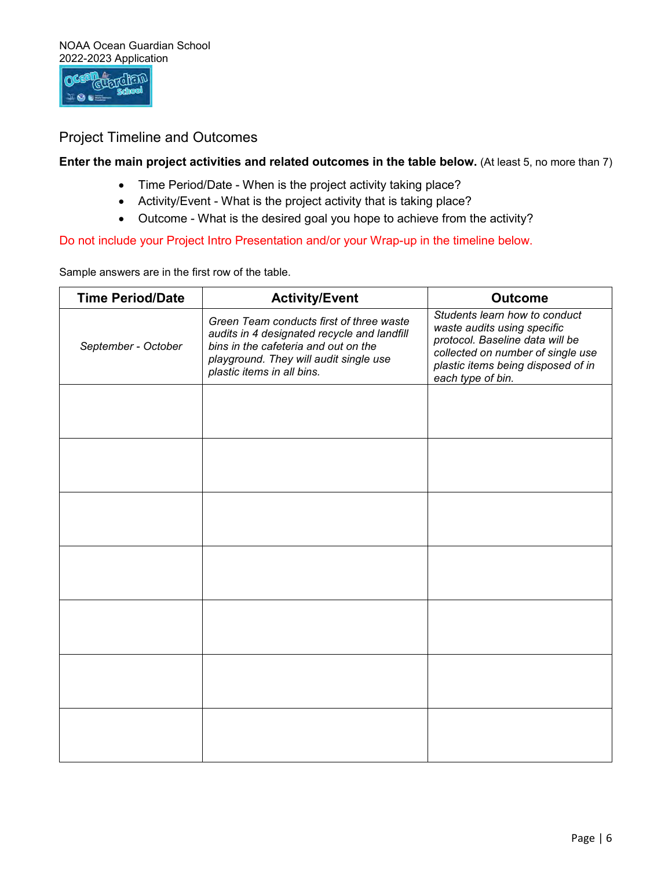

# Project Timeline and Outcomes

#### **Enter the main project activities and related outcomes in the table below.** (At least 5, no more than 7)

- Time Period/Date When is the project activity taking place?
- Activity/Event What is the project activity that is taking place?
- Outcome What is the desired goal you hope to achieve from the activity?

Do not include your Project Intro Presentation and/or your Wrap-up in the timeline below.

Sample answers are in the first row of the table.

| <b>Time Period/Date</b> | <b>Activity/Event</b>                                                                                                                                                                                   | <b>Outcome</b>                                                                                                                                                                                  |
|-------------------------|---------------------------------------------------------------------------------------------------------------------------------------------------------------------------------------------------------|-------------------------------------------------------------------------------------------------------------------------------------------------------------------------------------------------|
| September - October     | Green Team conducts first of three waste<br>audits in 4 designated recycle and landfill<br>bins in the cafeteria and out on the<br>playground. They will audit single use<br>plastic items in all bins. | Students learn how to conduct<br>waste audits using specific<br>protocol. Baseline data will be<br>collected on number of single use<br>plastic items being disposed of in<br>each type of bin. |
|                         |                                                                                                                                                                                                         |                                                                                                                                                                                                 |
|                         |                                                                                                                                                                                                         |                                                                                                                                                                                                 |
|                         |                                                                                                                                                                                                         |                                                                                                                                                                                                 |
|                         |                                                                                                                                                                                                         |                                                                                                                                                                                                 |
|                         |                                                                                                                                                                                                         |                                                                                                                                                                                                 |
|                         |                                                                                                                                                                                                         |                                                                                                                                                                                                 |
|                         |                                                                                                                                                                                                         |                                                                                                                                                                                                 |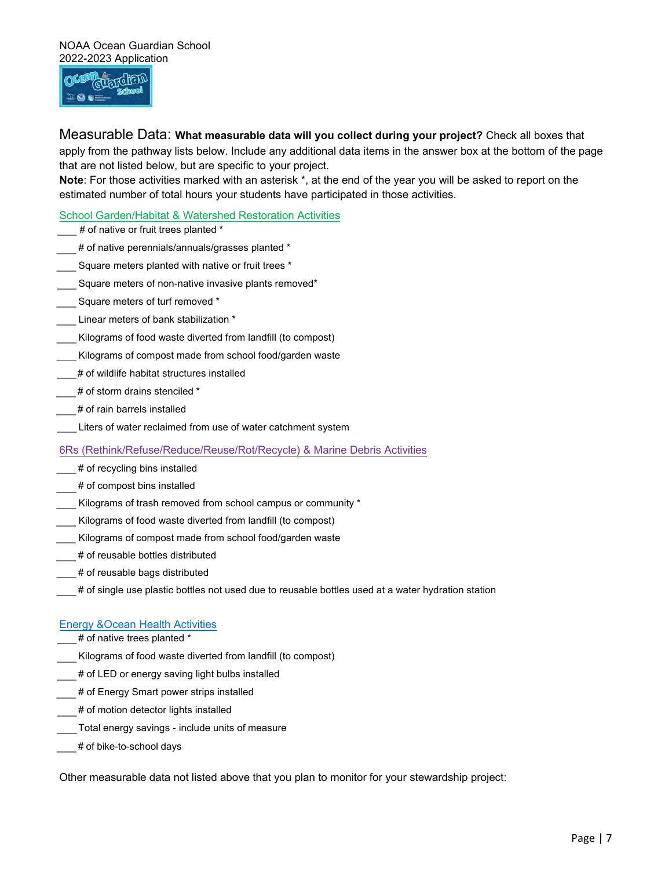

 Measurable Data: **What measurable data will you collect during your project?** Check all boxes that apply from the pathway lists below. Include any additional data items in the answer box at the bottom of the page that are not listed below, but are specific to your project.

 **Note**: For those activities marked with an asterisk \*, at the end of the year you will be asked to report on the estimated number of total hours your students have participated in those activities.

#### School Garden/Habitat & Watershed Restoration Activities

- # of native or fruit trees planted \*
- # of native perennials/annuals/grasses planted \*
- Square meters planted with native or fruit trees \*
- Square meters of non-native invasive plants removed\*
- \_\_\_ Square meters of turf removed \*
- Linear meters of bank stabilization \*
- Kilograms of food waste diverted from landfill (to compost)
- Kilograms of compost made from school food/garden waste
- # of wildlife habitat structures installed
- $\frac{1}{\sqrt{2}}$  # of storm drains stenciled \*
- # of rain barrels installed
- Liters of water reclaimed from use of water catchment system

#### 6Rs (Rethink/Refuse/Reduce/Reuse/Rot/Recycle) & Marine Debris Activities

- # of recycling bins installed
- # of compost bins installed
- \_\_\_ Kilograms of trash removed from school campus or community \*
- Kilograms of food waste diverted from landfill (to compost)
- \_\_\_ Kilograms of compost made from school food/garden waste
- # of reusable bottles distributed
- \_\_\_ # of reusable bags distributed
- # of single use plastic bottles not used due to reusable bottles used at a water hydration station

#### Energy &Ocean Health Activities

- \_\_\_ # of native trees planted \*
- \_\_\_ Kilograms of food waste diverted from landfill (to compost)
- # of LED or energy saving light bulbs installed
- # of Energy Smart power strips installed
- # of motion detector lights installed
- \_\_\_ Total energy savings include units of measure
- # of bike-to-school days

Other measurable data not listed above that you plan to monitor for your stewardship project: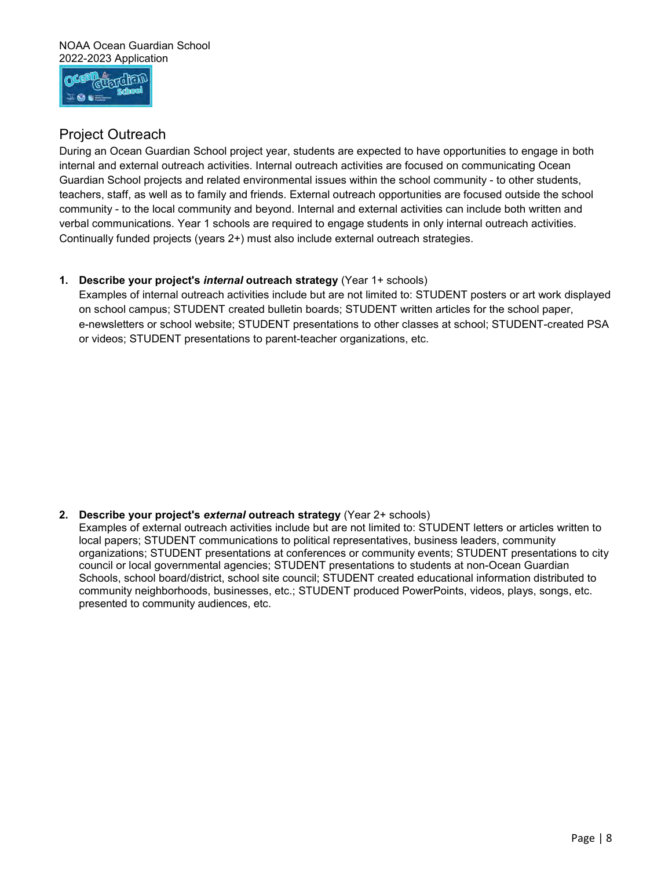

# Project Outreach

During an Ocean Guardian School project year, students are expected to have opportunities to engage in both internal and external outreach activities. Internal outreach activities are focused on communicating Ocean Guardian School projects and related environmental issues within the school community - to other students, teachers, staff, as well as to family and friends. External outreach opportunities are focused outside the school community - to the local community and beyond. Internal and external activities can include both written and verbal communications. Year 1 schools are required to engage students in only internal outreach activities. Continually funded projects (years 2+) must also include external outreach strategies.

#### **1. Describe your project's** *internal* **outreach strategy** (Year 1+ schools)

 Examples of internal outreach activities include but are not limited to: STUDENT posters or art work displayed on school campus; STUDENT created bulletin boards; STUDENT written articles for the school paper, e-newsletters or school website; STUDENT presentations to other classes at school; STUDENT-created PSA or videos; STUDENT presentations to parent-teacher organizations, etc.

**2. Describe your project's** *external* **outreach strategy** (Year 2+ schools)

Examples of external outreach activities include but are not limited to: STUDENT letters or articles written to local papers; STUDENT communications to political representatives, business leaders, community organizations; STUDENT presentations at conferences or community events; STUDENT presentations to city council or local governmental agencies; STUDENT presentations to students at non-Ocean Guardian Schools, school board/district, school site council; STUDENT created educational information distributed to community neighborhoods, businesses, etc.; STUDENT produced PowerPoints, videos, plays, songs, etc. presented to community audiences, etc.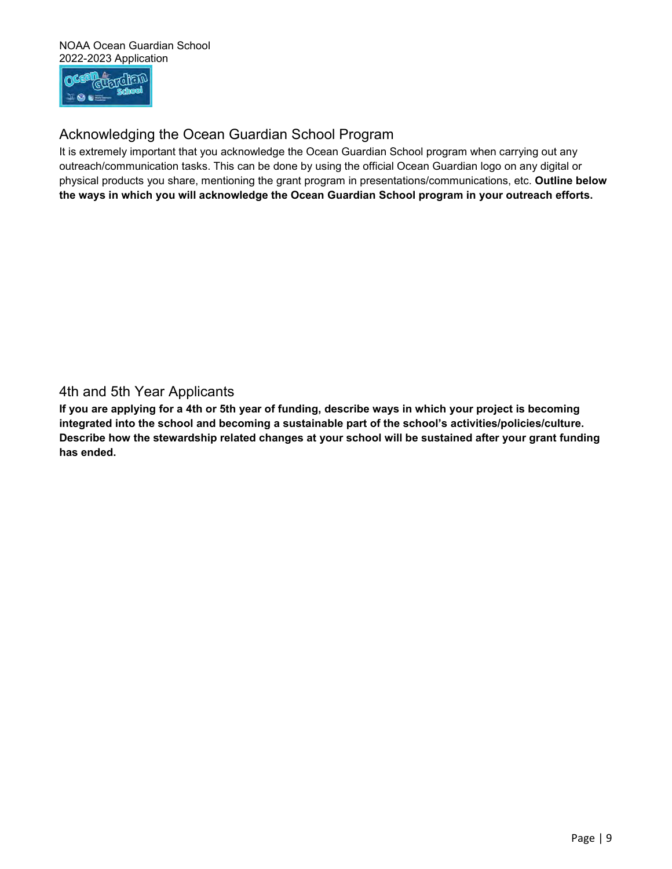

# Acknowledging the Ocean Guardian School Program

 outreach/communication tasks. This can be done by using the official Ocean Guardian logo on any digital or physical products you share, mentioning the grant program in presentations/communications, etc. **Outline below the ways in which you will acknowledge the Ocean Guardian School program in your outreach efforts.**  It is extremely important that you acknowledge the Ocean Guardian School program when carrying out any

4th and 5th Year Applicants

 **If you are applying for a 4th or 5th year of funding, describe ways in which your project is becoming integrated into the school and becoming a sustainable part of the school's activities/policies/culture. Describe how the stewardship related changes at your school will be sustained after your grant funding has ended.**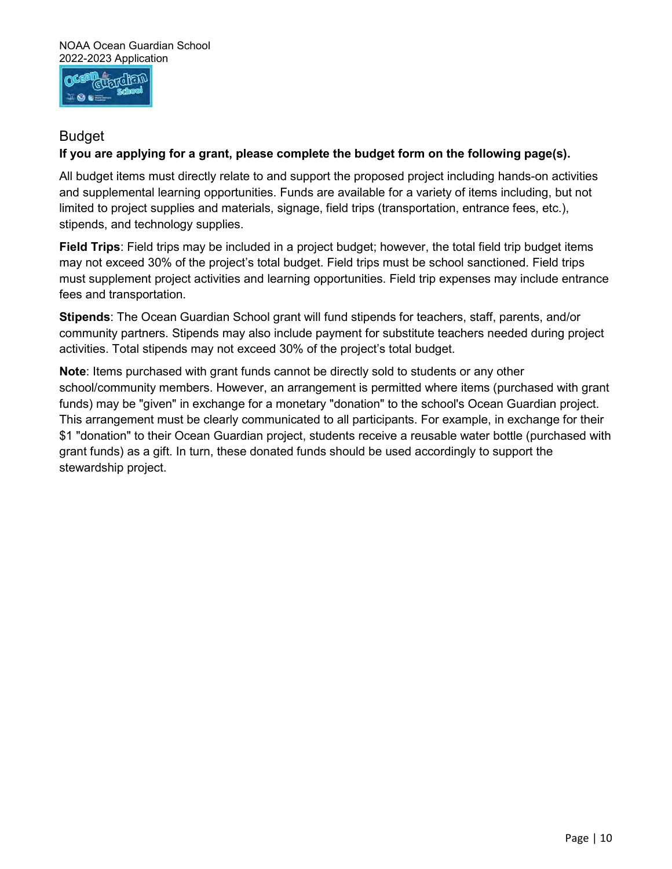

## Budget

## **If you are applying for a grant, please complete the budget form on the following page(s).**

 and supplemental learning opportunities. Funds are available for a variety of items including, but not limited to project supplies and materials, signage, field trips (transportation, entrance fees, etc.), All budget items must directly relate to and support the proposed project including hands-on activities stipends, and technology supplies.

 **Field Trips**: Field trips may be included in a project budget; however, the total field trip budget items fees and transportation. may not exceed 30% of the project's total budget. Field trips must be school sanctioned. Field trips must supplement project activities and learning opportunities. Field trip expenses may include entrance

 **Stipends**: The Ocean Guardian School grant will fund stipends for teachers, staff, parents, and/or community partners. Stipends may also include payment for substitute teachers needed during project activities. Total stipends may not exceed 30% of the project's total budget.

 **Note**: Items purchased with grant funds cannot be directly sold to students or any other funds) may be "given" in exchange for a monetary "donation" to the school's Ocean Guardian project. This arrangement must be clearly communicated to all participants. For example, in exchange for their grant funds) as a gift. In turn, these donated funds should be used accordingly to support the school/community members. However, an arrangement is permitted where items (purchased with grant \$1 "donation" to their Ocean Guardian project, students receive a reusable water bottle (purchased with stewardship project.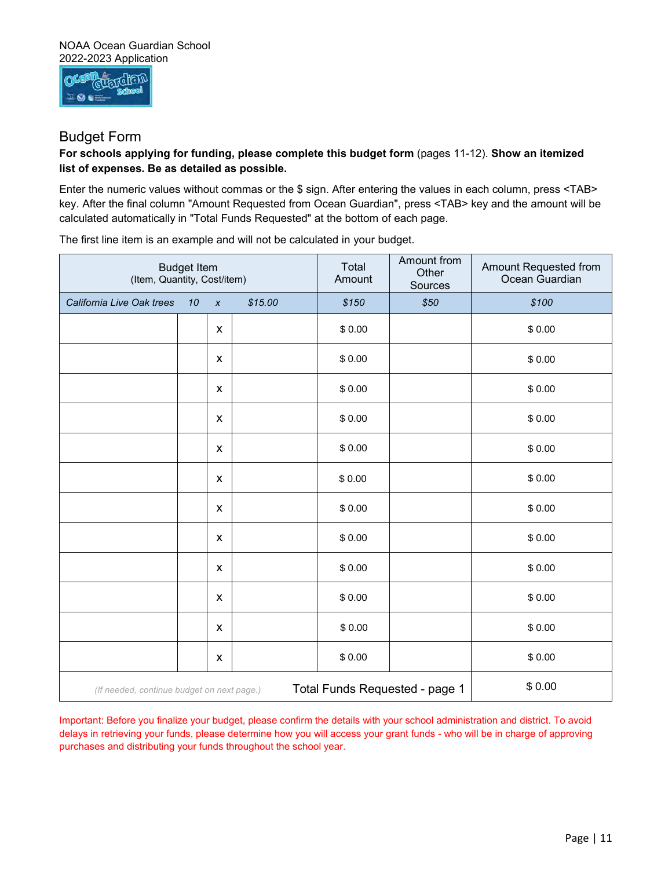

## Budget Form

#### **For schools applying for funding, please complete this budget form** (pages 11-12). **Show an itemized list of expenses. Be as detailed as possible.**

 key. After the final column "Amount Requested from Ocean Guardian", press <TAB> key and the amount will be calculated automatically in "Total Funds Requested" at the bottom of each page. Enter the numeric values without commas or the \$ sign. After entering the values in each column, press <TAB>

The first line item is an example and will not be calculated in your budget.

| <b>Budget Item</b><br>(Item, Quantity, Cost/item)                                                                                                                                                                                                                                                                                              |    | Total<br>Amount    | Amount from<br>Other<br>Sources | Amount Requested from<br>Ocean Guardian |                                |        |  |
|------------------------------------------------------------------------------------------------------------------------------------------------------------------------------------------------------------------------------------------------------------------------------------------------------------------------------------------------|----|--------------------|---------------------------------|-----------------------------------------|--------------------------------|--------|--|
| California Live Oak trees                                                                                                                                                                                                                                                                                                                      | 10 | $\pmb{\chi}$       | \$15.00                         | \$150                                   | \$50                           | \$100  |  |
|                                                                                                                                                                                                                                                                                                                                                |    | X                  |                                 | \$0.00                                  |                                | \$0.00 |  |
|                                                                                                                                                                                                                                                                                                                                                |    | $\pmb{\mathsf{X}}$ |                                 | \$0.00                                  |                                | \$0.00 |  |
|                                                                                                                                                                                                                                                                                                                                                |    | X                  |                                 | \$0.00                                  |                                | \$0.00 |  |
|                                                                                                                                                                                                                                                                                                                                                |    | X                  |                                 | \$0.00                                  |                                | \$0.00 |  |
|                                                                                                                                                                                                                                                                                                                                                |    | X                  |                                 | \$0.00                                  |                                | \$0.00 |  |
|                                                                                                                                                                                                                                                                                                                                                |    | X                  |                                 | \$0.00                                  |                                | \$0.00 |  |
|                                                                                                                                                                                                                                                                                                                                                |    | $\pmb{\mathsf{X}}$ |                                 | \$0.00                                  |                                | \$0.00 |  |
|                                                                                                                                                                                                                                                                                                                                                |    | X                  |                                 | \$0.00                                  |                                | \$0.00 |  |
|                                                                                                                                                                                                                                                                                                                                                |    | X                  |                                 | \$0.00                                  |                                | \$0.00 |  |
|                                                                                                                                                                                                                                                                                                                                                |    | X                  |                                 | \$0.00                                  |                                | \$0.00 |  |
|                                                                                                                                                                                                                                                                                                                                                |    | X                  |                                 | \$0.00                                  |                                | \$0.00 |  |
|                                                                                                                                                                                                                                                                                                                                                |    | X                  |                                 | \$0.00                                  |                                | \$0.00 |  |
| (If needed, continue budget on next page.)                                                                                                                                                                                                                                                                                                     |    |                    |                                 |                                         | Total Funds Requested - page 1 | \$0.00 |  |
| Important: Before you finalize your budget, please confirm the details with your school administration and district. To avoid<br>delays in retrieving your funds, please determine how you will access your grant funds - who will be in charge of approving<br>purchases and distributing your funds throughout the school year.<br>Page   11 |    |                    |                                 |                                         |                                |        |  |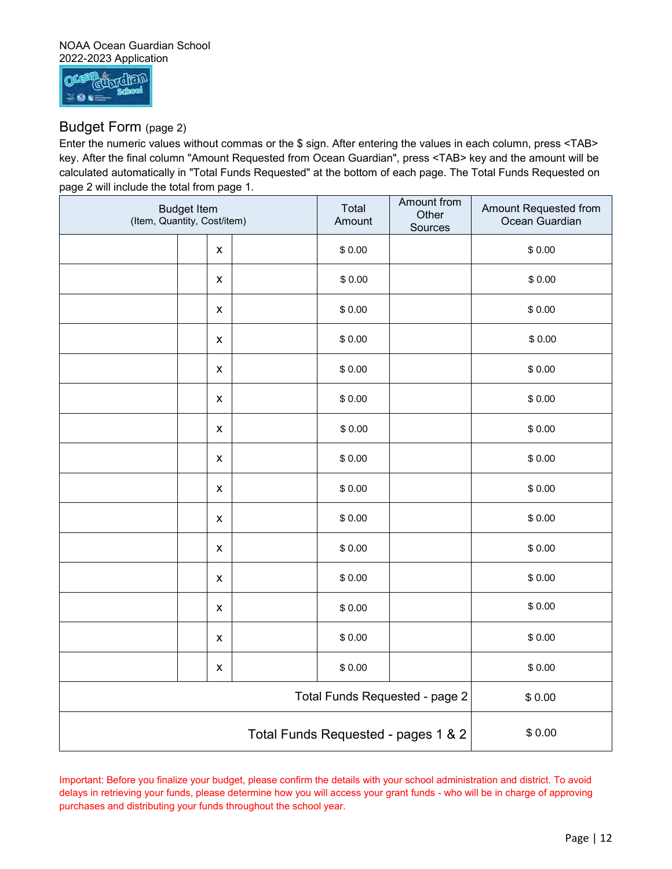#### NOAA Ocean Guardian School 2022-2023 Application



## Budget Form (page 2)

 Enter the numeric values without commas or the \$ sign. After entering the values in each column, press <TAB> calculated automatically in "Total Funds Requested" at the bottom of each page. The Total Funds Requested on page 2 will include the total from page 1. key. After the final column "Amount Requested from Ocean Guardian", press <TAB> key and the amount will be

| <b>Budget Item</b><br>(Item, Quantity, Cost/item) |                    | Total<br>Amount | <b>Amount from</b><br>Other<br>Sources | Amount Requested from<br>Ocean Guardian |        |
|---------------------------------------------------|--------------------|-----------------|----------------------------------------|-----------------------------------------|--------|
|                                                   | $\pmb{\mathsf{X}}$ |                 | \$0.00                                 |                                         | \$0.00 |
|                                                   | $\pmb{\mathsf{X}}$ |                 | \$0.00                                 |                                         | \$0.00 |
|                                                   | $\pmb{\mathsf{X}}$ |                 | \$0.00                                 |                                         | \$0.00 |
|                                                   | $\pmb{\mathsf{X}}$ |                 | \$0.00                                 |                                         | \$0.00 |
|                                                   | $\pmb{\mathsf{X}}$ |                 | \$0.00                                 |                                         | \$0.00 |
|                                                   | $\pmb{\mathsf{X}}$ |                 | \$0.00                                 |                                         | \$0.00 |
|                                                   | $\pmb{\mathsf{X}}$ |                 | \$0.00                                 |                                         | \$0.00 |
|                                                   | $\pmb{\mathsf{X}}$ |                 | \$0.00                                 |                                         | \$0.00 |
|                                                   | $\pmb{\mathsf{X}}$ |                 | \$0.00                                 |                                         | \$0.00 |
|                                                   | $\pmb{\times}$     |                 | \$0.00                                 |                                         | \$0.00 |
|                                                   | $\pmb{\mathsf{X}}$ |                 | \$0.00                                 |                                         | \$0.00 |
|                                                   | $\pmb{\times}$     |                 | \$0.00                                 |                                         | \$0.00 |
|                                                   | $\pmb{\times}$     |                 | \$0.00                                 |                                         | \$0.00 |
|                                                   | $\pmb{\mathsf{x}}$ |                 | \$0.00                                 |                                         | \$0.00 |
|                                                   | $\pmb{\mathsf{x}}$ |                 | \$0.00                                 |                                         | \$0.00 |
| Total Funds Requested - page 2                    |                    |                 |                                        | \$0.00                                  |        |
| Total Funds Requested - pages 1 & 2               |                    |                 |                                        |                                         | \$0.00 |

 purchases and distributing your funds throughout the school year. Important: Before you finalize your budget, please confirm the details with your school administration and district. To avoid delays in retrieving your funds, please determine how you will access your grant funds - who will be in charge of approving Total Funds Requested - pages 1 & 2<br>please confirm the details with your school administration and district. To avoid<br>mine how you will access your grant funds - who will be in charge of approving<br>ghout the school year.<br>Pa